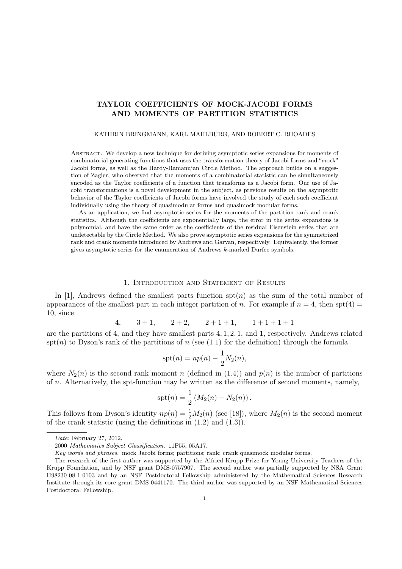# TAYLOR COEFFICIENTS OF MOCK-JACOBI FORMS AND MOMENTS OF PARTITION STATISTICS

#### KATHRIN BRINGMANN, KARL MAHLBURG, AND ROBERT C. RHOADES

Abstract. We develop a new technique for deriving asymptotic series expansions for moments of combinatorial generating functions that uses the transformation theory of Jacobi forms and "mock" Jacobi forms, as well as the Hardy-Ramanujan Circle Method. The approach builds on a suggestion of Zagier, who observed that the moments of a combinatorial statistic can be simultaneously encoded as the Taylor coefficients of a function that transforms as a Jacobi form. Our use of Jacobi transformations is a novel development in the subject, as previous results on the asymptotic behavior of the Taylor coefficients of Jacobi forms have involved the study of each such coefficient individually using the theory of quasimodular forms and quasimock modular forms.

As an application, we find asymptotic series for the moments of the partition rank and crank statistics. Although the coefficients are exponentially large, the error in the series expansions is polynomial, and have the same order as the coefficients of the residual Eisenstein series that are undetectable by the Circle Method. We also prove asymptotic series expansions for the symmetrized rank and crank moments introduced by Andrews and Garvan, respectively. Equivalently, the former gives asymptotic series for the enumeration of Andrews k-marked Durfee symbols.

#### 1. Introduction and Statement of Results

In [1], Andrews defined the smallest parts function  $spt(n)$  as the sum of the total number of appearances of the smallest part in each integer partition of n. For example if  $n = 4$ , then spt(4) = 10, since

4,  $3+1$ ,  $2+2$ ,  $2+1+1$ ,  $1+1+1+1$ 

are the partitions of 4, and they have smallest parts 4, 1, 2, 1, and 1, respectively. Andrews related  $spt(n)$  to Dyson's rank of the partitions of n (see (1.1) for the definition) through the formula

$$
spt(n) = np(n) - \frac{1}{2}N_2(n),
$$

where  $N_2(n)$  is the second rank moment n (defined in (1.4)) and  $p(n)$  is the number of partitions of  $n$ . Alternatively, the spt-function may be written as the difference of second moments, namely,

$$
spt(n) = \frac{1}{2} (M_2(n) - N_2(n)).
$$

This follows from Dyson's identity  $np(n) = \frac{1}{2}M_2(n)$  (see [18]), where  $M_2(n)$  is the second moment of the crank statistic (using the definitions in  $(1.2)$  and  $(1.3)$ ).

Date: February 27, 2012.

<sup>2000</sup> Mathematics Subject Classification. 11P55, 05A17.

Key words and phrases. mock Jacobi forms; partitions; rank; crank quasimock modular forms.

The research of the first author was supported by the Alfried Krupp Prize for Young University Teachers of the Krupp Foundation, and by NSF grant DMS-0757907. The second author was partially supported by NSA Grant H98230-08-1-0103 and by an NSF Postdoctoral Fellowship administered by the Mathematical Sciences Research Institute through its core grant DMS-0441170. The third author was supported by an NSF Mathematical Sciences Postdoctoral Fellowship.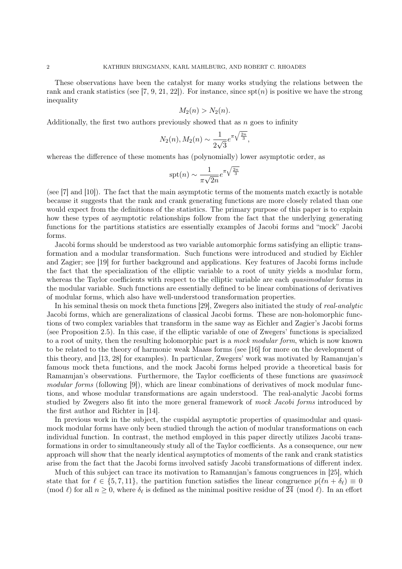These observations have been the catalyst for many works studying the relations between the rank and crank statistics (see [7, 9, 21, 22]). For instance, since  $spt(n)$  is positive we have the strong inequality

$$
M_2(n) > N_2(n).
$$

Additionally, the first two authors previously showed that as  $n$  goes to infinity

$$
N_2(n), M_2(n) \sim \frac{1}{2\sqrt{3}} e^{\pi \sqrt{\frac{2n}{3}}}
$$

,

whereas the difference of these moments has (polynomially) lower asymptotic order, as

$$
spt(n) \sim \frac{1}{\pi\sqrt{2n}}e^{\pi\sqrt{\frac{2n}{3}}}
$$

(see [7] and [10]). The fact that the main asymptotic terms of the moments match exactly is notable because it suggests that the rank and crank generating functions are more closely related than one would expect from the definitions of the statistics. The primary purpose of this paper is to explain how these types of asymptotic relationships follow from the fact that the underlying generating functions for the partitions statistics are essentially examples of Jacobi forms and "mock" Jacobi forms.

Jacobi forms should be understood as two variable automorphic forms satisfying an elliptic transformation and a modular transformation. Such functions were introduced and studied by Eichler and Zagier; see [19] for further background and applications. Key features of Jacobi forms include the fact that the specialization of the elliptic variable to a root of unity yields a modular form, whereas the Taylor coefficients with respect to the elliptic variable are each *quasimodular* forms in the modular variable. Such functions are essentially defined to be linear combinations of derivatives of modular forms, which also have well-understood transformation properties.

In his seminal thesis on mock theta functions [29], Zwegers also initiated the study of real-analytic Jacobi forms, which are generalizations of classical Jacobi forms. These are non-holomorphic functions of two complex variables that transform in the same way as Eichler and Zagier's Jacobi forms (see Proposition 2.5). In this case, if the elliptic variable of one of Zwegers' functions is specialized to a root of unity, then the resulting holomorphic part is a mock modular form, which is now known to be related to the theory of harmonic weak Maass forms (see [16] for more on the development of this theory, and [13, 28] for examples). In particular, Zwegers' work was motivated by Ramanujan's famous mock theta functions, and the mock Jacobi forms helped provide a theoretical basis for Ramanujan's observations. Furthermore, the Taylor coefficients of these functions are *quasimock* modular forms (following [9]), which are linear combinations of derivatives of mock modular functions, and whose modular transformations are again understood. The real-analytic Jacobi forms studied by Zwegers also fit into the more general framework of mock Jacobi forms introduced by the first author and Richter in [14].

In previous work in the subject, the cuspidal asymptotic properties of quasimodular and quasimock modular forms have only been studied through the action of modular transformations on each individual function. In contrast, the method employed in this paper directly utilizes Jacobi transformations in order to simultaneously study all of the Taylor coefficients. As a consequence, our new approach will show that the nearly identical asymptotics of moments of the rank and crank statistics arise from the fact that the Jacobi forms involved satisfy Jacobi transformations of different index.

Much of this subject can trace its motivation to Ramanujan's famous congruences in [25], which state that for  $\ell \in \{5, 7, 11\}$ , the partition function satisfies the linear congruence  $p(\ell n + \delta_{\ell}) \equiv 0$ (mod  $\ell$ ) for all  $n \geq 0$ , where  $\delta_{\ell}$  is defined as the minimal positive residue of  $\overline{24}$  (mod  $\ell$ ). In an effort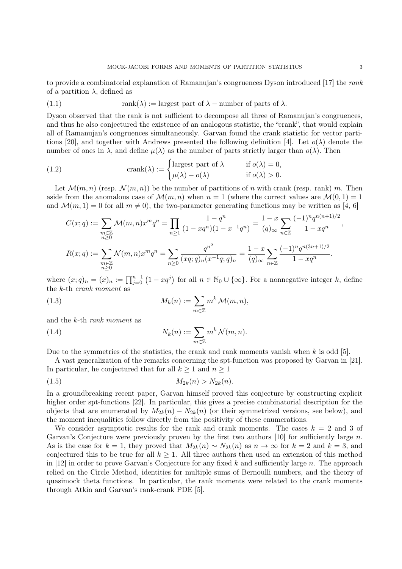to provide a combinatorial explanation of Ramanujan's congruences Dyson introduced [17] the rank of a partition  $\lambda$ , defined as

(1.1) 
$$
rank(\lambda) := \text{largest part of } \lambda - \text{ number of parts of } \lambda.
$$

Dyson observed that the rank is not sufficient to decompose all three of Ramanujan's congruences, and thus he also conjectured the existence of an analogous statistic, the "crank", that would explain all of Ramanujan's congruences simultaneously. Garvan found the crank statistic for vector partitions [20], and together with Andrews presented the following definition [4]. Let  $o(\lambda)$  denote the number of ones in  $\lambda$ , and define  $\mu(\lambda)$  as the number of parts strictly larger than  $o(\lambda)$ . Then

(1.2) 
$$
\operatorname{crank}(\lambda) := \begin{cases} \text{largest part of } \lambda & \text{if } o(\lambda) = 0, \\ \mu(\lambda) - o(\lambda) & \text{if } o(\lambda) > 0. \end{cases}
$$

Let  $\mathcal{M}(m, n)$  (resp.  $\mathcal{N}(m, n)$ ) be the number of partitions of n with crank (resp. rank) m. Then aside from the anomalous case of  $\mathcal{M}(m, n)$  when  $n = 1$  (where the correct values are  $\mathcal{M}(0, 1) = 1$ and  $\mathcal{M}(m, 1) = 0$  for all  $m \neq 0$ , the two-parameter generating functions may be written as [4, 6]

$$
C(x;q) := \sum_{\substack{m \in \mathbb{Z} \\ n \ge 0}} \mathcal{M}(m,n)x^m q^n = \prod_{n \ge 1} \frac{1 - q^n}{(1 - xq^n)(1 - x^{-1}q^n)} = \frac{1 - x}{(q)_{\infty}} \sum_{n \in \mathbb{Z}} \frac{(-1)^n q^{n(n+1)/2}}{1 - xq^n},
$$
  

$$
R(x;q) := \sum_{\substack{m \in \mathbb{Z} \\ n \ge 0}} \mathcal{N}(m,n)x^m q^n = \sum_{n \ge 0} \frac{q^{n^2}}{(xq;q)_n(x^{-1}q;q)_n} = \frac{1 - x}{(q)_{\infty}} \sum_{n \in \mathbb{Z}} \frac{(-1)^n q^{n(3n+1)/2}}{1 - xq^n}.
$$

where  $(x;q)_n = (x)_n := \prod_{j=0}^{n-1} (1 - xq^j)$  for all  $n \in \mathbb{N}_0 \cup \{\infty\}$ . For a nonnegative integer k, define the k-th crank moment as

(1.3) 
$$
M_k(n) := \sum_{m \in \mathbb{Z}} m^k \mathcal{M}(m, n),
$$

and the k-th rank moment as

(1.4) 
$$
N_k(n) := \sum_{m \in \mathbb{Z}} m^k \mathcal{N}(m, n).
$$

Due to the symmetries of the statistics, the crank and rank moments vanish when  $k$  is odd [5].

A vast generalization of the remarks concerning the spt-function was proposed by Garvan in [21]. In particular, he conjectured that for all  $k \geq 1$  and  $n \geq 1$ 

$$
(1.5) \t\t\t M_{2k}(n) > N_{2k}(n).
$$

In a groundbreaking recent paper, Garvan himself proved this conjecture by constructing explicit higher order spt-functions [22]. In particular, this gives a precise combinatorial description for the objects that are enumerated by  $M_{2k}(n) - N_{2k}(n)$  (or their symmetrized versions, see below), and the moment inequalities follow directly from the positivity of these enumerations.

We consider asymptotic results for the rank and crank moments. The cases  $k = 2$  and 3 of Garvan's Conjecture were previously proven by the first two authors  $[10]$  for sufficiently large n. As is the case for  $k = 1$ , they proved that  $M_{2k}(n) \sim N_{2k}(n)$  as  $n \to \infty$  for  $k = 2$  and  $k = 3$ , and conjectured this to be true for all  $k \geq 1$ . All three authors then used an extension of this method in [12] in order to prove Garvan's Conjecture for any fixed  $k$  and sufficiently large  $n$ . The approach relied on the Circle Method, identities for multiple sums of Bernoulli numbers, and the theory of quasimock theta functions. In particular, the rank moments were related to the crank moments through Atkin and Garvan's rank-crank PDE [5].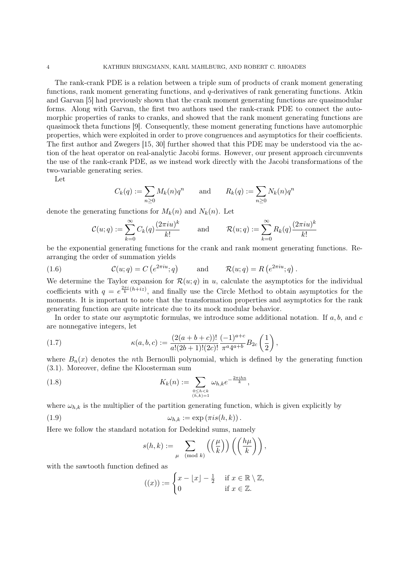The rank-crank PDE is a relation between a triple sum of products of crank moment generating functions, rank moment generating functions, and q-derivatives of rank generating functions. Atkin and Garvan [5] had previously shown that the crank moment generating functions are quasimodular forms. Along with Garvan, the first two authors used the rank-crank PDE to connect the automorphic properties of ranks to cranks, and showed that the rank moment generating functions are quasimock theta functions [9]. Consequently, these moment generating functions have automorphic properties, which were exploited in order to prove congruences and asymptotics for their coefficients. The first author and Zwegers [15, 30] further showed that this PDE may be understood via the action of the heat operator on real-analytic Jacobi forms. However, our present approach circumvents the use of the rank-crank PDE, as we instead work directly with the Jacobi transformations of the two-variable generating series.

Let

$$
C_k(q) := \sum_{n \ge 0} M_k(n) q^n \qquad \text{and} \qquad R_k(q) := \sum_{n \ge 0} N_k(n) q^n
$$

denote the generating functions for  $M_k(n)$  and  $N_k(n)$ . Let

$$
\mathcal{C}(u;q) := \sum_{k=0}^{\infty} C_k(q) \frac{(2\pi i u)^k}{k!} \quad \text{and} \quad \mathcal{R}(u;q) := \sum_{k=0}^{\infty} R_k(q) \frac{(2\pi i u)^k}{k!}
$$

be the exponential generating functions for the crank and rank moment generating functions. Rearranging the order of summation yields

.

(1.6) 
$$
\mathcal{C}(u;q) = C\left(e^{2\pi iu};q\right) \quad \text{and} \quad \mathcal{R}(u;q) = R\left(e^{2\pi iu};q\right)
$$

We determine the Taylor expansion for  $\mathcal{R}(u; q)$  in u, calculate the asymptotics for the individual coefficients with  $q = e^{\frac{2\pi i}{k}(h+iz)}$ , and finally use the Circle Method to obtain asymptotics for the moments. It is important to note that the transformation properties and asymptotics for the rank generating function are quite intricate due to its mock modular behavior.

In order to state our asymptotic formulas, we introduce some additional notation. If  $a, b$ , and  $c$ are nonnegative integers, let

(1.7) 
$$
\kappa(a,b,c) := \frac{(2(a+b+c))!}{a!(2b+1)!(2c)!} \frac{(-1)^{a+c}}{\pi^a 4^{a+b}} B_{2c} \left(\frac{1}{2}\right),
$$

where  $B_n(x)$  denotes the nth Bernoulli polynomial, which is defined by the generating function (3.1). Moreover, define the Kloosterman sum

(1.8) 
$$
K_{k}(n) := \sum_{\substack{0 \leq h < k \\ (h,k)=1}} \omega_{h,k} e^{-\frac{2\pi i h n}{k}},
$$

where  $\omega_{h,k}$  is the multiplier of the partition generating function, which is given explicitly by

(1.9) 
$$
\omega_{h,k} := \exp(\pi i s(h,k)).
$$

Here we follow the standard notation for Dedekind sums, namely

$$
s(h,k) := \sum_{\mu \pmod{k}} \left( \left( \frac{\mu}{k} \right) \right) \left( \left( \frac{h\mu}{k} \right) \right),
$$

with the sawtooth function defined as

$$
((x)) := \begin{cases} x - \lfloor x \rfloor - \frac{1}{2} & \text{if } x \in \mathbb{R} \setminus \mathbb{Z}, \\ 0 & \text{if } x \in \mathbb{Z}. \end{cases}
$$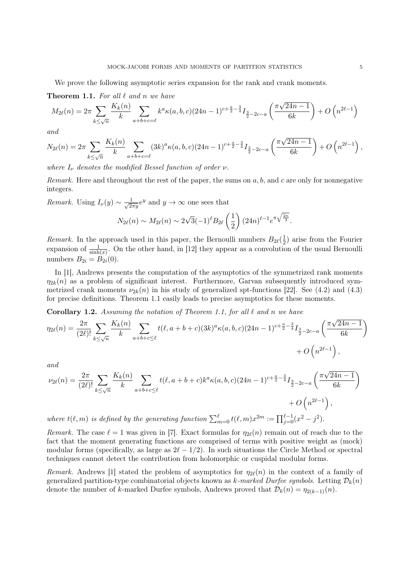We prove the following asymptotic series expansion for the rank and crank moments.

**Theorem 1.1.** For all  $\ell$  and n we have

$$
M_{2\ell}(n) = 2\pi \sum_{k \le \sqrt{n}} \frac{K_k(n)}{k} \sum_{a+b+c=\ell} k^a \kappa(a,b,c) (24n-1)^{c+\frac{a}{2}-\frac{3}{4}} I_{\frac{3}{2}-2c-a} \left( \frac{\pi \sqrt{24n-1}}{6k} \right) + O\left(n^{2\ell-1}\right)
$$

and

$$
N_{2\ell}(n) = 2\pi \sum_{k \le \sqrt{n}} \frac{K_k(n)}{k} \sum_{a+b+c=\ell} (3k)^a \kappa(a,b,c) (24n-1)^{c+\frac{a}{2}-\frac{3}{4}} I_{\frac{3}{2}-2c-a} \left( \frac{\pi \sqrt{24n-1}}{6k} \right) + O\left(n^{2\ell-1}\right),
$$

where  $I_{\nu}$  denotes the modified Bessel function of order  $\nu$ .

Remark. Here and throughout the rest of the paper, the sums on  $a, b$ , and  $c$  are only for nonnegative integers.

*Remark.* Using  $I_{\nu}(y) \sim \frac{1}{\sqrt{2}}$  $\frac{1}{2\pi y}e^y$  and  $y \to \infty$  one sees that √

$$
N_{2\ell}(n) \sim M_{2\ell}(n) \sim 2\sqrt{3}(-1)^{\ell}B_{2\ell}\left(\frac{1}{2}\right)(24n)^{\ell-1}e^{\pi\sqrt{\frac{2n}{3}}}.
$$

*Remark*. In the approach used in this paper, the Bernoulli numbers  $B_{2\ell}(\frac{1}{2})$  $(\frac{1}{2})$  arise from the Fourier expansion of  $\frac{1}{\sinh(x)}$ . On the other hand, in [12] they appear as a convolution of the usual Bernoulli numbers  $B_{2i} = B_{2i}(0)$ .

In [1], Andrews presents the computation of the asymptotics of the symmetrized rank moments  $\eta_{2k}(n)$  as a problem of significant interest. Furthermore, Garvan subsequently introduced symmetrized crank moments  $\nu_{2k}(n)$  in his study of generalized spt-functions [22]. See (4.2) and (4.3) for precise definitions. Theorem 1.1 easily leads to precise asymptotics for these moments.

**Corollary 1.2.** Assuming the notation of Theorem 1.1, for all  $\ell$  and n we have

$$
\eta_{2\ell}(n) = \frac{2\pi}{(2\ell)!} \sum_{k \le \sqrt{n}} \frac{K_k(n)}{k} \sum_{a+b+c \le \ell} t(\ell, a+b+c)(3k)^a \kappa(a, b, c)(24n-1)^{c+\frac{a}{2}-\frac{3}{4}} I_{\frac{3}{2}-2c-a} \left(\frac{\pi\sqrt{24n-1}}{6k}\right) + O\left(n^{2\ell-1}\right),
$$

and

$$
\nu_{2\ell}(n) = \frac{2\pi}{(2\ell)!} \sum_{k \le \sqrt{n}} \frac{K_k(n)}{k} \sum_{a+b+c \le \ell} t(\ell, a+b+c) k^a \kappa(a, b, c) (24n-1)^{c+\frac{a}{2}-\frac{3}{4}} I_{\frac{3}{2}-2c-a} \left( \frac{\pi \sqrt{24n-1}}{6k} \right)
$$
  
+  $O\left(n^{2\ell-1}\right)$ ,  
where  $t(\ell, m)$  is defined by the generating function  $\sum_{m=0}^{\ell} t(\ell, m) x^{2m} := \prod_{j=0}^{\ell-1} (x^2 - j^2)$ .

Remark. The case  $\ell = 1$  was given in [7]. Exact formulas for  $\eta_{2\ell}(n)$  remain out of reach due to the fact that the moment generating functions are comprised of terms with positive weight as (mock) modular forms (specifically, as large as  $2\ell - 1/2$ ). In such situations the Circle Method or spectral techniques cannot detect the contribution from holomorphic or cuspidal modular forms.

Remark. Andrews [1] stated the problem of asymptotics for  $\eta_{2\ell}(n)$  in the context of a family of generalized partition-type combinatorial objects known as k-marked Durfee symbols. Letting  $\mathcal{D}_k(n)$ denote the number of k-marked Durfee symbols, Andrews proved that  $\mathcal{D}_k(n) = \eta_{2(k-1)}(n)$ .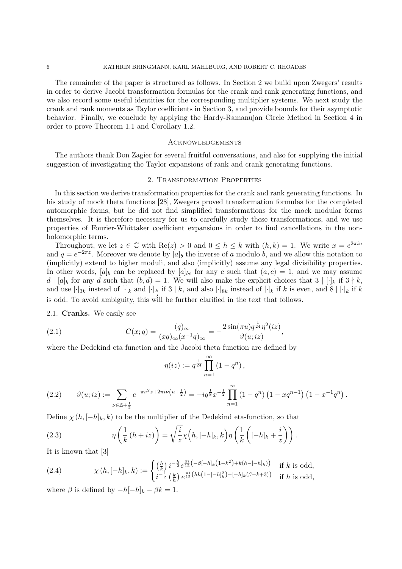The remainder of the paper is structured as follows. In Section 2 we build upon Zwegers' results in order to derive Jacobi transformation formulas for the crank and rank generating functions, and we also record some useful identities for the corresponding multiplier systems. We next study the crank and rank moments as Taylor coefficients in Section 3, and provide bounds for their asymptotic behavior. Finally, we conclude by applying the Hardy-Ramanujan Circle Method in Section 4 in order to prove Theorem 1.1 and Corollary 1.2.

### **ACKNOWLEDGEMENTS**

The authors thank Don Zagier for several fruitful conversations, and also for supplying the initial suggestion of investigating the Taylor expansions of rank and crank generating functions.

#### 2. Transformation Properties

In this section we derive transformation properties for the crank and rank generating functions. In his study of mock theta functions [28], Zwegers proved transformation formulas for the completed automorphic forms, but he did not find simplified transformations for the mock modular forms themselves. It is therefore necessary for us to carefully study these transformations, and we use properties of Fourier-Whittaker coefficient expansions in order to find cancellations in the nonholomorphic terms.

Throughout, we let  $z \in \mathbb{C}$  with  $\text{Re}(z) > 0$  and  $0 \leq h \leq k$  with  $(h, k) = 1$ . We write  $x = e^{2\pi i u}$ and  $q = e^{-2\pi z}$ . Moreover we denote by  $[a]_b$  the inverse of a modulo b, and we allow this notation to (implicitly) extend to higher moduli, and also (implicitly) assume any legal divisibility properties. In other words,  $[a]_b$  can be replaced by  $[a]_{bc}$  for any c such that  $(a, c) = 1$ , and we may assume  $d | [a]_b$  for any d such that  $(b, d) = 1$ . We will also make the explicit choices that  $3 | [\cdot]_k$  if  $3 \nmid k$ , and use  $[\cdot]_{3k}$  instead of  $[\cdot]_k$  and  $[\cdot]_k$  if  $3 \mid k$ , and also  $[\cdot]_{8k}$  instead of  $[\cdot]_k$  if  $k$  is even, and  $8 \mid [\cdot]_k$  if  $k$ is odd. To avoid ambiguity, this will be further clarified in the text that follows.

2.1. Cranks. We easily see

(2.1) 
$$
C(x;q) = \frac{(q)_{\infty}}{(xq)_{\infty}(x^{-1}q)_{\infty}} = -\frac{2\sin(\pi u)q^{\frac{1}{24}}\eta^{2}(iz)}{\vartheta(u;iz)},
$$

where the Dedekind eta function and the Jacobi theta function are defined by

$$
\eta(iz) := q^{\frac{1}{24}} \prod_{n=1}^{\infty} (1 - q^n),
$$

$$
(2.2) \qquad \vartheta(u;iz) := \sum_{\nu \in \mathbb{Z}+\frac{1}{2}} e^{-\pi \nu^2 z + 2\pi i \nu \left(u + \frac{1}{2}\right)} = -iq^{\frac{1}{8}} x^{-\frac{1}{2}} \prod_{n=1}^{\infty} \left(1 - q^n\right) \left(1 - x q^{n-1}\right) \left(1 - x^{-1} q^n\right).
$$

Define  $\chi(h, [-h]_k, k)$  to be the multiplier of the Dedekind eta-function, so that

(2.3) 
$$
\eta\left(\frac{1}{k}(h+iz)\right) = \sqrt{\frac{i}{z}}\chi\left(h,[-h]_k,k\right)\eta\left(\frac{1}{k}\left([-h]_k+\frac{i}{z}\right)\right).
$$

It is known that [3]

(2.4) 
$$
\chi(h,[-h]_k,k) := \begin{cases} \left(\frac{h}{k}\right) i^{-\frac{k}{2}} e^{\frac{\pi i}{12} \left(-\beta[-h]_k \left(1-k^2\right) + k(h - [-h]_k)\right)} & \text{if } k \text{ is odd,} \\ i^{-\frac{1}{2}} \left(\frac{k}{h}\right) e^{\frac{\pi i}{12} \left(hk\left(1 - [-h]_k^2\right) - [-h]_k(\beta - k + 3)\right)} & \text{if } h \text{ is odd,} \end{cases}
$$

where  $\beta$  is defined by  $-h[-h]_k - \beta k = 1$ .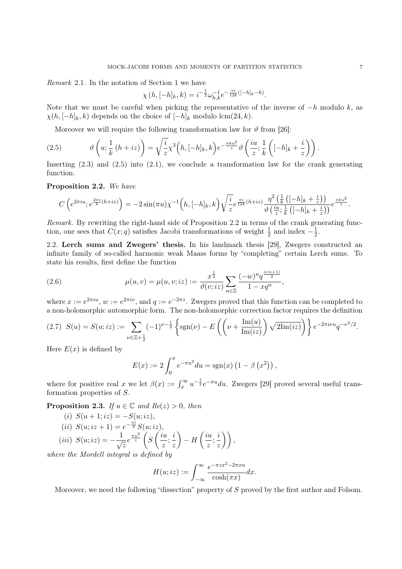Remark 2.1. In the notation of Section 1 we have

$$
\chi(h,[-h]_k,k) = i^{-\frac{1}{2}} \omega_{h,k}^{-1} e^{-\frac{\pi i}{12k}([-h]_k - h)}.
$$

Note that we must be careful when picking the representative of the inverse of  $-h$  modulo k, as  $\chi(h, [-h]_k, k)$  depends on the choice of  $[-h]_k$  modulo lcm(24, k).

Moreover we will require the following transformation law for  $\vartheta$  from [26]:

(2.5) 
$$
\vartheta\left(u;\frac{1}{k}\left(h+iz\right)\right)=\sqrt{\frac{i}{z}}\chi^3\left(h,[-h]_k,k\right)e^{-\frac{\pi ku^2}{z}}\vartheta\left(\frac{iu}{z};\frac{1}{k}\left([-h]_k+\frac{i}{z}\right)\right).
$$

Inserting  $(2.3)$  and  $(2.5)$  into  $(2.1)$ , we conclude a transformation law for the crank generating function.

Proposition 2.2. We have

$$
C\left(e^{2\pi iu};e^{\frac{2\pi i}{k}(h+iz)}\right)=-2\sin(\pi u)\chi^{-1}\left(h,[-h]_k,k\right)\sqrt{\frac{i}{z}}e^{\frac{\pi i}{12k}(h+iz)}\frac{\eta^2\left(\frac{1}{k}\left([-h]_k+\frac{i}{z}\right)\right)}{\vartheta\left(\frac{iu}{z};\frac{1}{k}\left([-h]_k+\frac{i}{z}\right)\right)}e^{\frac{\pi ku^2}{z}}.
$$

Remark. By rewriting the right-hand side of Proposition 2.2 in terms of the crank generating function, one sees that  $C(x; q)$  satisfies Jacobi transformations of weight  $\frac{1}{2}$  and index  $-\frac{1}{2}$  $rac{1}{2}$ .

2.2. Lerch sums and Zwegers' thesis. In his landmark thesis [29], Zwegers constructed an infinite family of so-called harmonic weak Maass forms by "completing" certain Lerch sums. To state his results, first define the function

(2.6) 
$$
\mu(u,v) = \mu(u,v;iz) := \frac{x^{\frac{1}{2}}}{\vartheta(v;iz)} \sum_{n \in \mathbb{Z}} \frac{(-w)^n q^{\frac{n(n+1)}{2}}}{1 - xq^n},
$$

where  $x := e^{2\pi i u}$ ,  $w := e^{2\pi i v}$ , and  $q := e^{-2\pi z}$ . Zwegers proved that this function can be completed to a non-holomorphic automorphic form. The non-holomorphic correction factor requires the definition

$$
(2.7) \ \ S(u) = S(u; iz) := \sum_{\nu \in \mathbb{Z} + \frac{1}{2}} (-1)^{\nu - \frac{1}{2}} \left\{ sgn(\nu) - E\left( \left( \nu + \frac{\text{Im}(u)}{\text{Im}(iz)} \right) \sqrt{2\text{Im}(iz)} \right) \right\} e^{-2\pi i \nu u} q^{-\nu^2/2}.
$$

Here  $E(x)$  is defined by

$$
E(x) := 2 \int_0^x e^{-\pi u^2} du = sgn(x) (1 - \beta (x^2)),
$$

where for positive real x we let  $\beta(x) := \int_x^{\infty} u^{-\frac{1}{2}} e^{-\pi u} du$ . Zwegers [29] proved several useful transformation properties of S.

**Proposition 2.3.** If  $u \in \mathbb{C}$  and  $Re(z) > 0$ , then

(i) 
$$
S(u+1; iz) = -S(u; iz),
$$
  
\n(ii)  $S(u; iz+1) = e^{-\frac{\pi i}{4}} S(u; iz),$   
\n(iii)  $S(u; iz) = -\frac{1}{\sqrt{z}} e^{\frac{\pi u^2}{z}} \left( S\left(\frac{iu}{z}; \frac{i}{z}\right) - H\left(\frac{iu}{z}; \frac{i}{z}\right) \right),$   
\n*are the Mordell integral is defined by*

where the Mordell integral is defined by

$$
H(u;iz) := \int_{-\infty}^{\infty} \frac{e^{-\pi zx^2 - 2\pi xu}}{\cosh(\pi x)} dx.
$$

Moreover, we need the following "dissection" property of S proved by the first author and Folsom.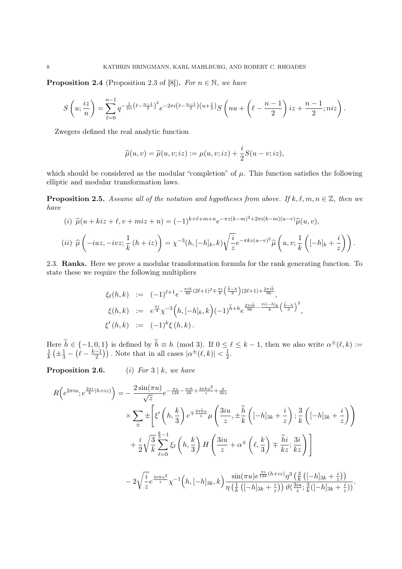**Proposition 2.4** (Proposition 2.3 of [8]). For  $n \in \mathbb{N}$ , we have

$$
S\left(u;\frac{iz}{n}\right) = \sum_{\ell=0}^{n-1} q^{-\frac{1}{2n}\left(\ell - \frac{n-1}{2}\right)^2} e^{-2\pi i \left(\ell - \frac{n-1}{2}\right)\left(u + \frac{1}{2}\right)} S\left(nu + \left(\ell - \frac{n-1}{2}\right)iz + \frac{n-1}{2};niz\right).
$$

Zwegers defined the real analytic function

$$
\widehat{\mu}(u,v) = \widehat{\mu}(u,v;iz) := \mu(u,v;iz) + \frac{i}{2}S(u-v;iz),
$$

which should be considered as the modular "completion" of  $\mu$ . This function satisfies the following elliptic and modular transformation laws.

**Proposition 2.5.** Assume all of the notation and hypotheses from above. If k,  $\ell, m, n \in \mathbb{Z}$ , then we have

(i) 
$$
\hat{\mu}(u + kiz + \ell, v + miz + n) = (-1)^{k+\ell+m+n} e^{-\pi z (k-m)^2 + 2\pi i (k-m)(u-v)} \hat{\mu}(u, v),
$$
  
\n(ii)  $\hat{\mu} \left( -iuz, -ivz; \frac{1}{k} (h + iz) \right) = \chi^{-3}(h, [-h]_k, k) \sqrt{\frac{i}{z}} e^{-\pi k z (u-v)^2} \hat{\mu} \left( u, v; \frac{1}{k} \left( [-h]_k + \frac{i}{z} \right) \right).$ 

2.3. Ranks. Here we prove a modular transformation formula for the rank generating function. To state these we require the following multipliers

k

$$
\xi_{\ell}(h,k) := (-1)^{\ell+1} e^{-\frac{\pi i h}{4k}(2\ell+1)^2 \mp \frac{\pi i}{k} \left(\frac{\tilde{h}-h}{3}\right)(2\ell+1) + \frac{2\pi i \tilde{h}}{9k}},
$$
  

$$
\xi(h,k) := e^{\frac{\pi i}{4}} \chi^{-3}\Big(h, [-h]_k, k\Big) (-1)^{\tilde{h}+h} e^{\frac{2\pi i \tilde{h}}{9k} - \frac{\pi i [-h]_k}{k} \left(\frac{\tilde{h}-h}{3}\right)^2},
$$
  

$$
\xi'(h,k) := (-1)^k \xi(h,k).
$$

Here  $\tilde{h} \in \{-1, 0, 1\}$  is defined by  $\tilde{h} \equiv h \pmod{3}$ . If  $0 \le \ell \le k - 1$ , then we also write  $\alpha^{\pm}(\ell, k) :=$ 1  $\frac{1}{k} \left( \pm \frac{1}{3} - \left( \ell - \frac{k-1}{2} \right) \right)$  $\left(\frac{-1}{2}\right)$ ). Note that in all cases  $|\alpha^{\pm}(\ell, k)| < \frac{1}{2}$  $rac{1}{2}$ .

**Proposition 2.6.** (i) For  $3 | k$ , we have

$$
R\left(e^{2\pi i u}; e^{\frac{2\pi i}{k}(h+iz)}\right) = -\frac{2\sin(\pi u)}{\sqrt{z}}e^{-\frac{\pi z}{12k} - \frac{\pi ih}{4k} + \frac{3\pi ku^2}{z} + \frac{\pi}{3kz}}\times \sum_{\pm} \pm \left[\xi'\left(h, \frac{k}{3}\right)e^{\mp\frac{2\pi \tilde{h}u}{z}}\mu\left(\frac{3iu}{z}, \pm \frac{\tilde{h}}{k}\left([-h]_{3k} + \frac{i}{z}\right); \frac{3}{k}\left([-h]_{3k} + \frac{i}{z}\right)\right)\right] + \frac{i}{2}\sqrt{\frac{3}{k}}\sum_{\ell=0}^{\frac{k}{3}-1}\xi_{\ell}\left(h, \frac{k}{3}\right)H\left(\frac{3iu}{z} + \alpha^{\pm}\left(\ell, \frac{k}{3}\right) \mp \frac{\tilde{h}i}{kz}; \frac{3i}{kz}\right)\right] - 2\sqrt{\frac{i}{z}}e^{\frac{3\pi ku^2}{z}}\chi^{-1}\left(h, [-h]_{3k}, k\right)\frac{\sin(\pi u)e^{\frac{\pi i}{12k}(h+iz)}\eta^3\left(\frac{3}{k}\left([-h]_{3k} + \frac{i}{z}\right)\right)}{\eta\left(\frac{1}{k}\left([-h]_{3k} + \frac{i}{z}\right)\right)\vartheta\left(\frac{3iu}{z}; \frac{3}{k}\left([-h]_{3k} + \frac{i}{z}\right)\right)}.
$$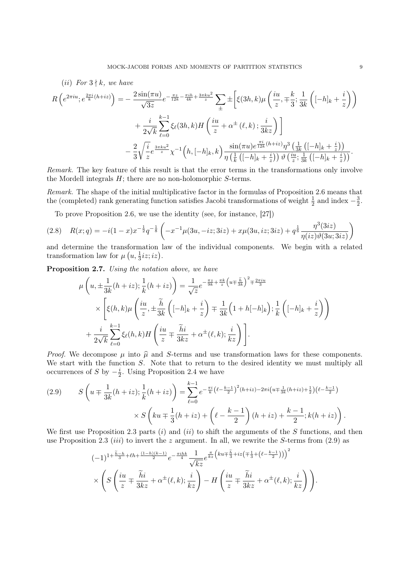$$
(ii) \ For \ 3 \nmid k, \ we \ have
$$
\n
$$
R\left(e^{2\pi i u}; e^{\frac{2\pi i}{k}(h+iz)}\right) = -\frac{2\sin(\pi u)}{\sqrt{3z}}e^{-\frac{\pi z}{12k} - \frac{\pi i h}{4k} + \frac{3\pi k u^2}{z}}\sum_{\pm} \pm \left[\xi(3h,k)\mu\left(\frac{iu}{z}, \mp \frac{k}{3}; \frac{1}{3k}\left([-h]_k + \frac{i}{z}\right)\right) + \frac{i}{2\sqrt{k}}\sum_{\ell=0}^{k-1}\xi_{\ell}(3h,k)H\left(\frac{iu}{z} + \alpha^{\pm}\left(\ell,k\right); \frac{i}{3kz}\right)\right]
$$
\n
$$
-\frac{2}{3}\sqrt{\frac{i}{z}}e^{\frac{3\pi k u^2}{z}}\chi^{-1}\left(h, [-h]_k, k\right)\frac{\sin(\pi u)e^{\frac{\pi i}{12k}(h+iz)}\eta^3\left(\frac{1}{3k}\left([-h]_k + \frac{i}{z}\right)\right)}{\eta\left(\frac{1}{k}\left([-h]_k + \frac{i}{z}\right)\right)\vartheta\left(\frac{iu}{z}; \frac{1}{3k}\left([-h]_k + \frac{i}{z}\right)\right)}.
$$

Remark. The key feature of this result is that the error terms in the transformations only involve the Mordell integrals  $H$ ; there are no non-holomorphic  $S$ -terms.

Remark. The shape of the initial multiplicative factor in the formulas of Proposition 2.6 means that the (completed) rank generating function satisfies Jacobi transformations of weight  $\frac{1}{2}$  and index  $-\frac{3}{2}$  $\frac{3}{2}$ .

To prove Proposition 2.6, we use the identity (see, for instance, [27])

$$
(2.8) \quad R(x;q) = -i(1-x)x^{-\frac{1}{2}}q^{-\frac{1}{8}}\left(-x^{-1}\mu(3u,-iz;3iz) + x\mu(3u,iz;3iz) + q^{\frac{1}{6}}\frac{\eta^3(3iz)}{\eta(iz)\vartheta(3u;3iz)}\right)
$$

and determine the transformation law of the individual components. We begin with a related transformation law for  $\mu\left(u, \frac{1}{3}iz;iz\right)$ .

Proposition 2.7. Using the notation above, we have

$$
\mu\left(u,\pm\frac{1}{3k}(h+iz);\frac{1}{k}(h+iz)\right) = \frac{1}{\sqrt{z}}e^{-\frac{\pi z}{9k}+\frac{\pi k}{z}\left(u\mp\frac{\tilde{h}}{3k}\right)^{2}+\frac{2\pi iu}{3}}\times\left[\xi(h,k)\mu\left(\frac{iu}{z},\pm\frac{\tilde{h}}{3k}\left([-h]_{k}+\frac{i}{z}\right)\mp\frac{1}{3k}\left(1+h[-h]_{k}\right);\frac{1}{k}\left([-h]_{k}+\frac{i}{z}\right)\right) + \frac{i}{2\sqrt{k}}\sum_{\ell=0}^{k-1}\xi_{\ell}(h,k)H\left(\frac{iu}{z}\mp\frac{\tilde{h}i}{3kz}+\alpha^{\pm}(\ell,k);\frac{i}{kz}\right)\right].
$$

*Proof.* We decompose  $\mu$  into  $\hat{\mu}$  and S-terms and use transformation laws for these components. We start with the function S. Note that to return to the desired identity we must multiply all occurrences of S by  $-\frac{i}{2}$  $\frac{i}{2}$ . Using Proposition 2.4 we have

$$
(2.9) \qquad S\left(u \mp \frac{1}{3k}(h+iz); \frac{1}{k}(h+iz)\right) = \sum_{\ell=0}^{k-1} e^{-\frac{\pi i}{k}\left(\ell - \frac{k-1}{2}\right)^2(h+iz) - 2\pi i\left(u \mp \frac{1}{3k}(h+iz) + \frac{1}{2}\right)\left(\ell - \frac{k-1}{2}\right)} \times S\left(ku \mp \frac{1}{3}(h+iz) + \left(\ell - \frac{k-1}{2}\right)(h+iz) + \frac{k-1}{2}; k(h+iz)\right).
$$

We first use Proposition 2.3 parts  $(i)$  and  $(ii)$  to shift the arguments of the S functions, and then use Proposition 2.3 (*iii*) to invert the z argument. In all, we rewrite the S-terms from  $(2.9)$  as

$$
(-1)^{1+\frac{\widetilde{h}-h}{3}+\ell h+\frac{(1-h)(k-1)}{2}}e^{-\frac{\pi i h k}{4}}\frac{1}{\sqrt{kz}}e^{\frac{\pi}{kz}\left(ku\mp\frac{\widetilde{h}}{3}+iz\left(\mp\frac{1}{3}+\left(\ell-\frac{k-1}{2}\right)\right)\right)^{2}}\times\left(S\left(\frac{iu}{z}\mp\frac{\widetilde{h}i}{3kz}+\alpha^{\pm}(\ell,k);\frac{i}{kz}\right)-H\left(\frac{iu}{z}\mp\frac{\widetilde{h}i}{3kz}+\alpha^{\pm}(\ell,k);\frac{i}{kz}\right)\right).
$$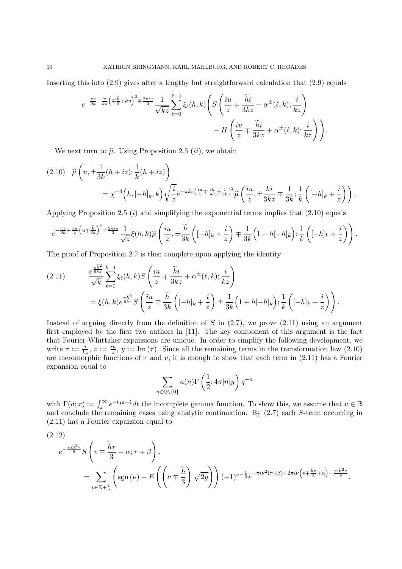Inserting this into (2.9) gives after a lengthy but straightforward calculation that (2.9) equals

$$
e^{-\frac{\pi z}{9k} + \frac{\pi}{kz} \left(\mp \frac{\tilde{h}}{3} + ku\right)^2 \mp \frac{2\pi i u}{3}} \frac{1}{\sqrt{kz}} \sum_{\ell=0}^{k-1} \xi_{\ell}(h,k) \left( S\left(\frac{iu}{z} \mp \frac{\tilde{h}i}{3kz} + \alpha^{\pm}(\ell,k); \frac{i}{kz}\right) - H\left(\frac{iu}{z} \mp \frac{\tilde{h}i}{3kz} + \alpha^{\pm}(\ell,k); \frac{i}{kz}\right) \right).
$$

We next turn to  $\hat{\mu}$ . Using Proposition 2.5 *(ii)*, we obtain

$$
(2.10) \quad \widehat{\mu}\left(u, \pm \frac{1}{3k}(h+iz); \frac{1}{k}(h+iz)\right)
$$
  
=  $\chi^{-3}\left(h, [-h]_k, k\right)\sqrt{\frac{i}{z}}e^{-\pi kz\left(\frac{iu}{z} + \frac{ih}{3kz} \pm \frac{1}{3k}\right)^2} \widehat{\mu}\left(\frac{iu}{z}, \pm \frac{hi}{3kz} \mp \frac{1}{3k}; \frac{1}{k}\left([-h]_k + \frac{i}{z}\right)\right).$ 

Applying Proposition 2.5  $(i)$  and simplifying the exponential terms implies that  $(2.10)$  equals

$$
e^{-\frac{\pi z}{9k}+\frac{\pi k}{z}\left(u\mp\frac{\tilde{h}}{3k}\right)^2\mp\frac{2\pi i u}{3}}\frac{1}{\sqrt{z}}\xi(h,k)\widehat{\mu}\left(\frac{iu}{z},\pm\frac{\tilde{h}}{3k}\left([-h]_k+\frac{i}{z}\right)\mp\frac{1}{3k}\left(1+h[-h]_k\right); \frac{1}{k}\left([-h]_k+\frac{i}{z}\right)\right).
$$

The proof of Proposition 2.7 is then complete upon applying the identity

(2.11) 
$$
\frac{e^{\frac{\pi \widetilde{h}^2}{9kz}}}{\sqrt{k}} \sum_{\ell=0}^{k-1} \xi_{\ell}(h,k) S\left(\frac{iu}{z} \mp \frac{\widetilde{h}i}{3kz} + \alpha^{\pm}(\ell,k); \frac{i}{kz}\right)
$$

$$
= \xi(h,k) e^{\frac{\pi \widetilde{h}^2}{9kz}} S\left(\frac{iu}{z} \mp \frac{\widetilde{h}}{3k} \left([-h]_k + \frac{i}{z}\right) \pm \frac{1}{3k} \left(1 + h[-h]_k\right); \frac{1}{k} \left([-h]_k + \frac{i}{z}\right)\right).
$$

Instead of arguing directly from the definition of  $S$  in  $(2.7)$ , we prove  $(2.11)$  using an argument first employed by the first two authors in [11]. The key component of this argument is the fact that Fourier-Whittaker expansions are unique. In order to simplify the following development, we write  $\tau := \frac{i}{kz}, v := \frac{iu}{z}, y := \text{Im}(\tau)$ . Since all the remaining terms in the transformation law (2.10) are meromorphic functions of  $\tau$  and v, it is enough to show that each term in (2.11) has a Fourier expansion equal to

$$
\sum_{n \in \mathbb{Q}\setminus\{0\}} a(n) \Gamma\left(\frac{1}{2}; 4\pi |n|y\right) q^{-n}
$$

with  $\Gamma(a; x) := \int_x^{\infty} e^{-t} t^{a-1} dt$  the incomplete gamma function. To show this, we assume that  $v \in \mathbb{R}$ and conclude the remaining cases using analytic continuation. By (2.7) each S-term occurring in (2.11) has a Fourier expansion equal to

$$
(2.12)
$$
\n
$$
e^{-\frac{\pi i \tilde{h}^2 \tau}{9}} S\left(v \mp \frac{\tilde{h}\tau}{3} + \alpha; \tau + \beta\right).
$$
\n
$$
= \sum_{\nu \in \mathbb{Z} + \frac{1}{2}} \left(\text{sgn}\left(\nu\right) - E\left(\left(\nu \mp \frac{\tilde{h}}{3}\right) \sqrt{2y}\right)\right) (-1)^{\nu - \frac{1}{2}} e^{-\pi i \nu^2 (\tau + \beta) - 2\pi i \nu \left(v \mp \frac{\tilde{h}\tau}{3} + \alpha\right) - \frac{\pi i \tilde{h}^2 \tau}{9}}.
$$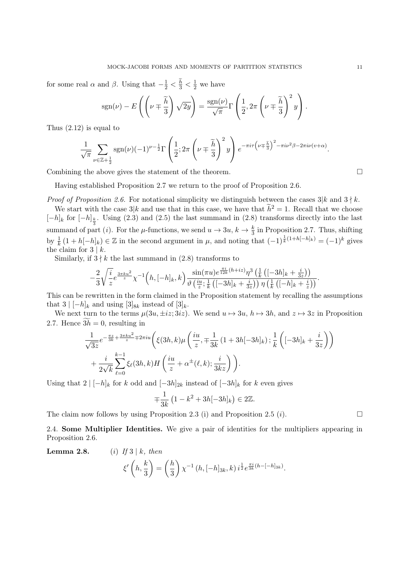for some real  $\alpha$  and  $\beta$ . Using that  $-\frac{1}{2} < \frac{h}{3} < \frac{1}{2}$  we have

$$
sgn(\nu) - E\left(\left(\nu \mp \frac{\widetilde{h}}{3}\right)\sqrt{2y}\right) = \frac{sgn(\nu)}{\sqrt{\pi}}\Gamma\left(\frac{1}{2}, 2\pi\left(\nu \mp \frac{\widetilde{h}}{3}\right)^2y\right).
$$

Thus (2.12) is equal to

$$
\frac{1}{\sqrt{\pi}}\sum_{\nu\in\mathbb{Z}+\frac{1}{2}}\operatorname{sgn}(\nu)(-1)^{\nu-\frac{1}{2}}\Gamma\left(\frac{1}{2};2\pi\left(\nu\mp\frac{\widetilde{h}}{3}\right)^2y\right)e^{-\pi i\tau\left(\nu\mp\frac{\widetilde{h}}{3}\right)^2-\pi i\nu^2\beta-2\pi i\nu(v+\alpha)}.
$$

Combining the above gives the statement of the theorem.

Having established Proposition 2.7 we return to the proof of Proposition 2.6.

*Proof of Proposition 2.6.* For notational simplicity we distinguish between the cases  $3|k$  and  $3 \nmid k$ .

We start with the case  $3|k$  and use that in this case, we have that  $\tilde{h}^2 = 1$ . Recall that we choose  $[-h]_k$  for  $[-h]_{\frac{k}{3}}$ . Using (2.3) and (2.5) the last summand in (2.8) transforms directly into the last summand of part (*i*). For the  $\mu$ -functions, we send  $u \to 3u$ ,  $k \to \frac{k}{3}$  in Proposition 2.7. Thus, shifting by  $\frac{1}{k}(1+h[-h]_k) \in \mathbb{Z}$  in the second argument in  $\mu$ , and noting that  $(-1)^{\frac{1}{k}(1+h[-h]_k)} = (-1)^k$  gives the claim for  $3 \nvert k$ .

Similarly, if  $3 \nmid k$  the last summand in (2.8) transforms to

$$
-\frac{2}{3}\sqrt{\frac{i}{z}}e^{\frac{3\pi k u^2}{z}}\chi^{-1}\Big(h,[-h]_k,k\Big)\frac{\sin(\pi u)e^{\frac{\pi i}{12k}(h+iz)}\eta^3\left(\frac{1}{k}\left([-3h]_k+\frac{i}{3z}\right)\right)}{\vartheta\left(\frac{iu}{z};\frac{1}{k}\left([-3h]_k+\frac{i}{3z}\right)\right)\eta\left(\frac{1}{k}\left([-h]_k+\frac{i}{z}\right)\right)}.
$$

This can be rewritten in the form claimed in the Proposition statement by recalling the assumptions that  $3 \mid [-h]_k$  and using  $[3]_{8k}$  instead of  $[3]_k$ .

We next turn to the terms  $\mu(3u, \pm iz; 3iz)$ . We send  $u \mapsto 3u$ ,  $h \mapsto 3h$ , and  $z \mapsto 3z$  in Proposition 2.7. Hence  $3h = 0$ , resulting in

$$
\frac{1}{\sqrt{3z}}e^{-\frac{\pi z}{3k}+\frac{3\pi ku^2}{z}}\mp 2\pi iu\left(\xi(3h,k)\mu\left(\frac{iu}{z},\mp\frac{1}{3k}\left(1+3h[-3h]_k\right);\frac{1}{k}\left([-3h]_k+\frac{i}{3z}\right)\right)\right) \n+\frac{i}{2\sqrt{k}}\sum_{\ell=0}^{k-1}\xi_{\ell}(3h,k)H\left(\frac{iu}{z}+\alpha^{\pm}(\ell,k);\frac{i}{3kz}\right)\right).
$$

Using that  $2 \mid [-h]_k$  for k odd and  $[-3h]_{2k}$  instead of  $[-3h]_k$  for k even gives

$$
\mp \frac{1}{3k} \left( 1 - k^2 + 3h[-3h]_k \right) \in 2\mathbb{Z}.
$$

The claim now follows by using Proposition 2.3 (i) and Proposition 2.5 (*i*).

2.4. Some Multiplier Identities. We give a pair of identities for the multipliers appearing in Proposition 2.6.

**Lemma 2.8.** (i) If  $3 \mid k$ , then

$$
\xi'\left(h,\frac{k}{3}\right) = \left(\frac{h}{3}\right)\chi^{-1}\left(h,[-h]_{3k},k\right)i^{\frac{1}{2}}e^{\frac{\pi i}{3k}(h-[-h]_{3k})}.
$$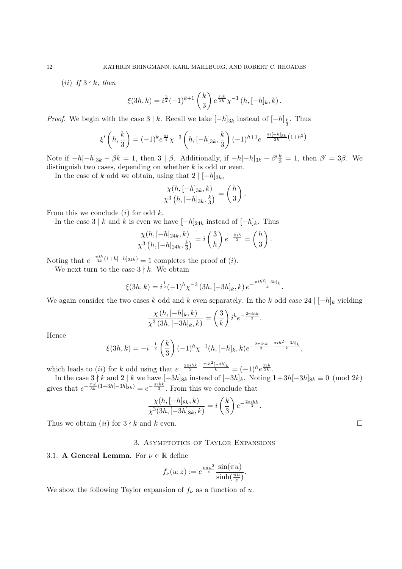(*ii*) If  $3 \nmid k$ , then

$$
\xi(3h,k) = i^{\frac{3}{2}}(-1)^{k+1}\left(\frac{k}{3}\right)e^{\frac{\pi ih}{3k}}\chi^{-1}(h,[-h]_k,k).
$$

*Proof.* We begin with the case  $3 \nvert k$ . Recall we take  $[-h]_{3k}$  instead of  $[-h]_{\frac{k}{3}}$ . Thus

$$
\xi'\left(h,\frac{k}{3}\right) = (-1)^k e^{\frac{\pi i}{4}} \chi^{-3}\left(h,[-h]_{3k},\frac{k}{3}\right) (-1)^{h+1} e^{-\frac{\pi i[-h]_{3k}}{3k} (1+h^2)}.
$$

Note if  $-h[-h]_{3k} - \beta k = 1$ , then  $3 | \beta$ . Additionally, if  $-h[-h]_{3k} - \beta' \frac{k}{3} = 1$ , then  $\beta' = 3\beta$ . We distinguish two cases, depending on whether  $k$  is odd or even.

In the case of k odd we obtain, using that  $2 | [-h]_{3k}$ ,

$$
\frac{\chi(h,[-h]_{3k},k)}{\chi^3\left(h,[-h]_{3k},\frac{k}{3}\right)} = \left(\frac{h}{3}\right).
$$

From this we conclude  $(i)$  for odd  $k$ .

In the case 3 | k and k is even we have  $[-h]_{24k}$  instead of  $[-h]_k$ . Thus

$$
\frac{\chi(h, [-h]_{24k}, k)}{\chi^3(h, [-h]_{24k}, \frac{k}{3})} = i\left(\frac{3}{h}\right)e^{-\frac{\pi i h}{2}} = \left(\frac{h}{3}\right).
$$

Noting that  $e^{-\frac{\pi i h}{3k}(1+h[-h]_{24k})} = 1$  completes the proof of (*i*).

We next turn to the case  $3 \nmid k$ . We obtain

$$
\xi(3h,k) = i^{\frac{1}{2}}(-1)^h \chi^{-3} (3h, [-3h]_k, k) e^{-\frac{\pi i h^2 [-3h]_k}{k}}.
$$

We again consider the two cases k odd and k even separately. In the k odd case 24  $\vert -h\vert_k$  yielding

$$
\frac{\chi(h,[-h]_k,k)}{\chi^3(3h,[-3h]_k,k)} = \left(\frac{3}{k}\right)i^ke^{-\frac{2\pi i h k}{3}}.
$$

Hence

$$
\xi(3h,k) = -i^{-\frac{1}{2}} \left(\frac{k}{3}\right) (-1)^h \chi^{-1}(h,[-h]_k,k) e^{-\frac{2\pi i h k}{3} - \frac{\pi i h^2 [-3h]_k}{k}},
$$

which leads to (ii) for k odd using that  $e^{-\frac{2\pi i h k}{3} - \frac{\pi i h^2[-3h]_k}{k}} = (-1)^h e^{\frac{\pi i h}{3k}}$ .

In the case  $3 \nmid k$  and  $2 \nmid k$  we have  $[-3h]_{8k}$  instead of  $[-3h]_k$ . Noting  $1+3h[-3h]_{8k} \equiv 0 \pmod{2k}$ gives that  $e^{-\frac{\pi i h}{3k}(1+3h[-3h]_{8k})} = e^{-\frac{\pi i hk}{3}}$ . From this we conclude that

$$
\frac{\chi(h, [-h]_{8k}, k)}{\chi^3(3h, [-3h]_{8k}, k)} = i\left(\frac{k}{3}\right)e^{-\frac{2\pi i h k}{3}}.
$$

Thus we obtain  $(ii)$  for  $3 \nmid k$  and  $k$  even.

## 3. Asymptotics of Taylor Expansions

## 3.1. A General Lemma. For  $\nu \in \mathbb{R}$  define

$$
f_{\nu}(u; z) := e^{\frac{\nu \pi u^2}{z}} \frac{\sin(\pi u)}{\sinh(\frac{\pi u}{z})}.
$$

We show the following Taylor expansion of  $f_{\nu}$  as a function of u.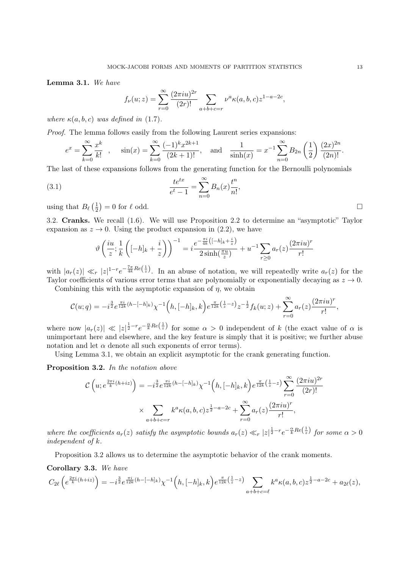Lemma 3.1. We have

$$
f_{\nu}(u;z) = \sum_{r=0}^{\infty} \frac{(2\pi i u)^{2r}}{(2r)!} \sum_{a+b+c=r} \nu^{a} \kappa(a,b,c) z^{1-a-2c},
$$

where  $\kappa(a, b, c)$  was defined in (1.7).

Proof. The lemma follows easily from the following Laurent series expansions:

$$
e^x = \sum_{k=0}^{\infty} \frac{x^k}{k!} , \quad \sin(x) = \sum_{k=0}^{\infty} \frac{(-1)^k x^{2k+1}}{(2k+1)!} , \quad \text{and} \quad \frac{1}{\sinh(x)} = x^{-1} \sum_{n=0}^{\infty} B_{2n} \left(\frac{1}{2}\right) \frac{(2x)^{2n}}{(2n)!} .
$$

The last of these expansions follows from the generating function for the Bernoulli polynomials

(3.1) 
$$
\frac{te^{tx}}{e^t - 1} = \sum_{n=0}^{\infty} B_n(x) \frac{t^n}{n!}
$$

using that  $B_{\ell}$   $\left(\frac{1}{2}\right)$  $\frac{1}{2}$  = 0 for  $\ell$  odd.

3.2. Cranks. We recall (1.6). We will use Proposition 2.2 to determine an "asymptotic" Taylor expansion as  $z \to 0$ . Using the product expansion in (2.2), we have

,

$$
\vartheta\left(\frac{iu}{z};\frac{1}{k}\left([-h]_k+\frac{i}{z}\right)\right)^{-1} = i\frac{e^{-\frac{\pi i}{4k}\left([-h]_k+\frac{i}{z}\right)}}{2\sinh(\frac{\pi u}{z})} + u^{-1}\sum_{r\geq 0} a_r(z)\frac{(2\pi i u)^r}{r!}
$$

with  $|a_r(z)| \ll_r |z|^{1-r} e^{-\frac{7\pi}{4k}Re(\frac{1}{z})}$ . In an abuse of notation, we will repeatedly write  $a_r(z)$  for the Taylor coefficients of various error terms that are polynomially or exponentially decaying as  $z \to 0$ .

Combining this with the asymptotic expansion of  $\eta$ , we obtain

$$
\mathcal{C}(u;q) = -i^{\frac{3}{2}} e^{\frac{\pi i}{12k}(h - [-h]_k)} \chi^{-1}\Big(h, [-h]_k, k\Big) e^{\frac{\pi}{12k}(\frac{1}{z} - z)} z^{-\frac{1}{2}} f_k(u;z) + \sum_{r=0}^{\infty} a_r(z) \frac{(2\pi i u)^r}{r!},
$$

where now  $|a_r(z)| \ll |z|^{\frac{1}{2}-r}e^{-\frac{\alpha}{k}Re(\frac{1}{z})}$  for some  $\alpha > 0$  independent of k (the exact value of  $\alpha$  is unimportant here and elsewhere, and the key feature is simply that it is positive; we further abuse notation and let  $\alpha$  denote all such exponents of error terms).

Using Lemma 3.1, we obtain an explicit asymptotic for the crank generating function.

Proposition 3.2. In the notation above

$$
\mathcal{C}\left(u; e^{\frac{2\pi i}{k}(h+iz)}\right) = -i^{\frac{3}{2}}e^{\frac{\pi i}{12k}(h-[-h]_k)}\chi^{-1}\left(h, [-h]_k, k\right)e^{\frac{\pi}{12k}\left(\frac{1}{z}-z\right)}\sum_{r=0}^{\infty}\frac{(2\pi iu)^{2r}}{(2r)!}
$$

$$
\times \sum_{a+b+c=r} k^a\kappa(a,b,c)z^{\frac{1}{2}-a-2c} + \sum_{r=0}^{\infty} a_r(z)\frac{(2\pi iu)^r}{r!},
$$

where the coefficients  $a_r(z)$  satisfy the asymptotic bounds  $a_r(z) \ll_r |z|^{\frac{1}{2}-r} e^{-\frac{\alpha}{k}Re(\frac{1}{z})}$  for some  $\alpha > 0$ independent of k.

Proposition 3.2 allows us to determine the asymptotic behavior of the crank moments.

Corollary 3.3. We have

$$
C_{2\ell}\left(e^{\frac{2\pi i}{k}(h+iz)}\right) = -i^{\frac{3}{2}}e^{\frac{\pi i}{12k}(h-[-h]_k)}\chi^{-1}\left(h,[-h]_k,k\right)e^{\frac{\pi}{12k}\left(\frac{1}{z}-z\right)}\sum_{a+b+c=\ell}k^a\kappa(a,b,c)z^{\frac{1}{2}-a-2c}+a_{2\ell}(z),
$$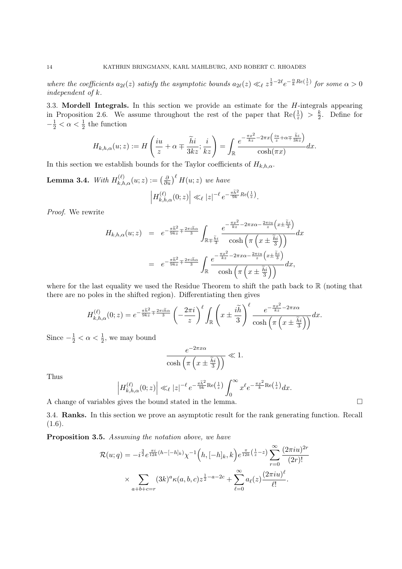where the coefficients  $a_{2\ell}(z)$  satisfy the asymptotic bounds  $a_{2\ell}(z) \ll_{\ell} z^{\frac{1}{2}-2\ell} e^{-\frac{\alpha}{k}Re(\frac{1}{z})}$  for some  $\alpha > 0$ independent of k.

3.3. Mordell Integrals. In this section we provide an estimate for the  $H$ -integrals appearing in Proposition 2.6. We assume throughout the rest of the paper that  $\text{Re}(\frac{1}{2})$  $\frac{1}{z}$  >  $\frac{k}{2}$  $\frac{k}{2}$ . Define for  $-\frac{1}{2} < \alpha < \frac{1}{2}$  the function

$$
H_{k,h,\alpha}(u;z) := H\left(\frac{iu}{z} + \alpha \mp \frac{\widetilde{h}i}{3kz};\frac{i}{kz}\right) = \int_{\mathbb{R}} \frac{e^{-\frac{\pi x^2}{kz} - 2\pi x\left(\frac{iu}{z} + \alpha \mp \frac{\widetilde{h}i}{3kz}\right)}}{\cosh(\pi x)}dx.
$$

In this section we establish bounds for the Taylor coefficients of  $H_{k,h,\alpha}$ .

**Lemma 3.4.** With  $H_{k,h,\alpha}^{(\ell)}(u;z) := \left(\frac{\partial}{\partial u}\right)^{\ell} H(u;z)$  we have

$$
\left|H_{k,h,\alpha}^{(\ell)}(0;z)\right| \ll_{\ell} |z|^{-\ell} e^{-\frac{\pi \tilde{h}^2}{9k}Re\left(\frac{1}{z}\right)}.
$$

Proof. We rewrite

$$
H_{k,h,\alpha}(u;z) = e^{-\frac{\pi \tilde{h}^2}{9kz} \mp \frac{2\pi i \tilde{h}\alpha}{3}} \int_{\mathbb{R}+\frac{\tilde{h}i}{3}} \frac{e^{-\frac{\pi x^2}{kz} - 2\pi x \alpha - \frac{2\pi i u}{z} \left(x \pm \frac{\tilde{h}i}{3}\right)}}{\cosh\left(\pi \left(x \pm \frac{\tilde{h}i}{3}\right)\right)}} dx
$$
  

$$
= e^{-\frac{\pi \tilde{h}^2}{9kz} \mp \frac{2\pi i \tilde{h}\alpha}{3}} \int_{\mathbb{R}} \frac{e^{-\frac{\pi x^2}{kz} - 2\pi x \alpha - \frac{2\pi i u}{z} \left(x \pm \frac{\tilde{h}i}{3}\right)}}{\cosh\left(\pi \left(x \pm \frac{\tilde{h}i}{3}\right)\right)}} dx,
$$

where for the last equality we used the Residue Theorem to shift the path back to  $\mathbb R$  (noting that there are no poles in the shifted region). Differentiating then gives

$$
H_{k,h,\alpha}^{(\ell)}(0;z) = e^{-\frac{\pi \widetilde{h}^2}{9kz} + \frac{2\pi i \widetilde{h}\alpha}{3}} \left(-\frac{2\pi i}{z}\right)^{\ell} \int_{\mathbb{R}} \left(x \pm \frac{i\widetilde{h}}{3}\right)^{\ell} \frac{e^{-\frac{\pi x^2}{kz} - 2\pi x \alpha}}{\cosh\left(\pi \left(x \pm \frac{\widetilde{h}i}{3}\right)\right)} dx.
$$

Since  $-\frac{1}{2} < \alpha < \frac{1}{2}$ , we may bound

$$
\frac{e^{-2\pi x\alpha}}{\cosh\left(\pi\left(x\pm\frac{\widetilde{h}i}{3}\right)\right)} \ll 1.
$$

Thus

$$
\left|H_{k,h,\alpha}^{(\ell)}(0;z)\right| \ll_{\ell} |z|^{-\ell} e^{-\frac{\pi \widetilde{h}^2}{9k}\mathrm{Re}\left(\frac{1}{z}\right)} \int_{0}^{\infty} x^{\ell} e^{-\frac{\pi x^2}{k}\mathrm{Re}\left(\frac{1}{z}\right)} dx.
$$

A change of variables gives the bound stated in the lemma.

3.4. Ranks. In this section we prove an asymptotic result for the rank generating function. Recall  $(1.6).$ 

Proposition 3.5. Assuming the notation above, we have

$$
\mathcal{R}(u;q) = -i^{\frac{3}{2}} e^{\frac{\pi i}{12k}(h - [-h]_k)} \chi^{-1}\left(h, [-h]_k, k\right) e^{\frac{\pi}{12k}\left(\frac{1}{z} - z\right)} \sum_{r=0}^{\infty} \frac{(2\pi i u)^{2r}}{(2r)!}
$$

$$
\times \sum_{a+b+c=r} (3k)^a \kappa(a,b,c) z^{\frac{1}{2}-a-2c} + \sum_{\ell=0}^{\infty} a_{\ell}(z) \frac{(2\pi i u)^{\ell}}{\ell!}.
$$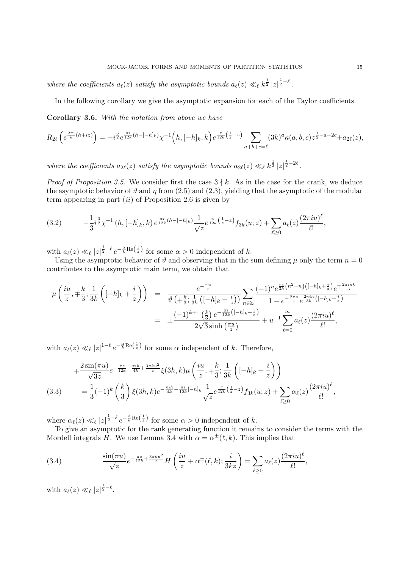where the coefficients  $a_{\ell}(z)$  satisfy the asymptotic bounds  $a_{\ell}(z) \ll_{\ell} k^{\frac{1}{2}} |z|^{\frac{1}{2}-\ell}$ .

In the following corollary we give the asymptotic expansion for each of the Taylor coefficients.

Corollary 3.6. With the notation from above we have

$$
R_{2\ell}\left(e^{\frac{2\pi i}{k}(h+iz)}\right) = -i^{\frac{3}{2}}e^{\frac{\pi i}{12k}(h-[-h]_k)}\chi^{-1}\left(h,[-h]_k,k\right)e^{\frac{\pi}{12k}\left(\frac{1}{z}-z\right)}\sum_{a+b+c=\ell}(3k)^a\kappa(a,b,c)z^{\frac{1}{2}-a-2c}+a_{2\ell}(z),
$$

where the coefficients  $a_{2\ell}(z)$  satisfy the asymptotic bounds  $a_{2\ell}(z) \ll_{\ell} k^{\frac{1}{2}} |z|^{\frac{1}{2}-2\ell}$ .

*Proof of Proposition 3.5.* We consider first the case  $3 \nmid k$ . As in the case for the crank, we deduce the asymptotic behavior of  $\vartheta$  and  $\eta$  from (2.5) and (2.3), yielding that the asymptotic of the modular term appearing in part  $(ii)$  of Proposition 2.6 is given by

$$
(3.2) \qquad -\frac{1}{3}i^{\frac{3}{2}}\chi^{-1}\left(h,[-h]_k,k\right)e^{\frac{\pi i}{12k}(h-[-h]_k)}\frac{1}{\sqrt{z}}e^{\frac{\pi}{12k}\left(\frac{1}{z}-z\right)}f_{3k}(u;z)+\sum_{\ell\geq 0}a_{\ell}(z)\frac{(2\pi i u)^{\ell}}{\ell!},
$$

with  $a_{\ell}(z) \ll_{\ell} |z|^{\frac{1}{2}-\ell} e^{-\frac{\alpha}{k} \text{Re}(\frac{1}{z})}$  for some  $\alpha > 0$  independent of k.

Using the asymptotic behavior of  $\vartheta$  and observing that in the sum defining  $\mu$  only the term  $n = 0$ contributes to the asymptotic main term, we obtain that

$$
\mu\left(\frac{iu}{z}, \mp\frac{k}{3}; \frac{1}{3k}\left([-h]_k + \frac{i}{z}\right)\right) = \frac{e^{-\frac{\pi u}{z}}}{\vartheta\left(\mp\frac{k}{3}; \frac{1}{3k}\left([-h]_k + \frac{i}{z}\right)\right)} \sum_{n\in\mathbb{Z}} \frac{(-1)^n e^{\frac{\pi i}{3k}\left(n^2+n\right)\left([-h]_k + \frac{i}{z}\right)} e^{\mp\frac{2\pi i n k}{3}}}{1 - e^{-\frac{2\pi u}{z}} e^{\frac{2\pi i n}{3k}\left([-h]_k + \frac{i}{z}\right)}}}{1 - e^{-\frac{2\pi u}{z}} e^{\frac{2\pi i n k}{3k}\left([-h]_k + \frac{i}{z}\right)}} \\
= \pm \frac{(-1)^{k+1}\left(\frac{k}{3}\right) e^{-\frac{\pi i}{12k}\left([-h]_k + \frac{i}{z}\right)}}{2\sqrt{3}\sinh\left(\frac{\pi u}{z}\right)} + u^{-1} \sum_{\ell=0}^{\infty} a_{\ell}(z) \frac{(2\pi i u)^{\ell}}{\ell!},
$$

with  $a_{\ell}(z) \ll_{\ell} |z|^{1-\ell} e^{-\frac{\alpha}{k} \text{Re}(\frac{1}{z})}$  for some  $\alpha$  independent of k. Therefore,

$$
\begin{split} \mp \frac{2\sin(\pi u)}{\sqrt{3z}} e^{-\frac{\pi z}{12k} - \frac{\pi i h}{4k} + \frac{3\pi k u^2}{z}} \xi(3h, k) \mu\left(\frac{iu}{z}, \mp \frac{k}{3}; \frac{1}{3k} \left( [-h]_k + \frac{i}{z} \right) \right) \\ (3.3) \qquad &= \frac{1}{3} (-1)^k \left( \frac{k}{3} \right) \xi(3h, k) e^{-\frac{\pi i h}{4k} - \frac{\pi i}{12k} [-h]_k} \frac{1}{\sqrt{z}} e^{\frac{\pi}{12k} \left( \frac{1}{z} - z \right)} f_{3k}(u; z) + \sum_{\ell \ge 0} \alpha_{\ell}(z) \frac{(2\pi i u)^{\ell}}{\ell!}, \end{split}
$$

where  $\alpha_{\ell}(z) \ll_{\ell} |z|^{\frac{1}{2}-\ell} e^{-\frac{\alpha}{k} \text{Re}(\frac{1}{z})}$  for some  $\alpha > 0$  independent of k.

To give an asymptotic for the rank generating function it remains to consider the terms with the Mordell integrals H. We use Lemma 3.4 with  $\alpha = \alpha^{\pm}(\ell, k)$ . This implies that

(3.4) 
$$
\frac{\sin(\pi u)}{\sqrt{z}} e^{-\frac{\pi z}{12k} + \frac{3\pi k u^2}{z}} H\left(\frac{iu}{z} + \alpha^{\pm}(\ell, k); \frac{i}{3kz}\right) = \sum_{\ell \ge 0} a_{\ell}(z) \frac{(2\pi i u)^{\ell}}{\ell!},
$$

with  $a_{\ell}(z) \ll_{\ell} |z|^{\frac{1}{2}-\ell}$ .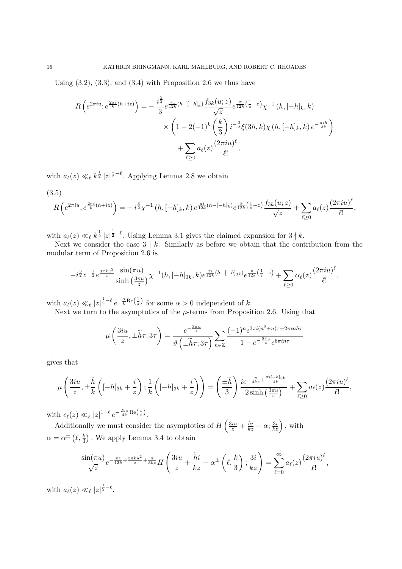Using  $(3.2)$ ,  $(3.3)$ , and  $(3.4)$  with Proposition 2.6 we thus have

$$
R\left(e^{2\pi iu}; e^{\frac{2\pi i}{k}(h+iz)}\right) = -\frac{i^{\frac{3}{2}}}{3}e^{\frac{\pi i}{12k}(h-[-h]_k)}\frac{f_{3k}(u;z)}{\sqrt{z}}e^{\frac{\pi}{12k}\left(\frac{1}{z}-z\right)}\chi^{-1}\left(h,[-h]_k,k\right) \times\left(1-2(-1)^k\left(\frac{k}{3}\right)i^{-\frac{3}{2}}\xi(3h,k)\chi\left(h,[-h]_k,k\right)e^{-\frac{\pi ih}{3k}}\right) +\sum_{\ell\geq 0}a_{\ell}(z)\frac{(2\pi iu)^{\ell}}{\ell!},
$$

with  $a_{\ell}(z) \ll_{\ell} k^{\frac{1}{2}} |z|^{\frac{1}{2}-\ell}$ . Applying Lemma 2.8 we obtain

$$
(3.5)
$$

$$
R\left(e^{2\pi iu};e^{\frac{2\pi i}{k}(h+iz)}\right)=-i^{\frac{3}{2}}\chi^{-1}\left(h,[-h]_k,k\right)e^{\frac{\pi i}{12k}(h-[-h]_k)}e^{\frac{\pi}{12k}\left(\frac{1}{z}-z\right)}\frac{f_{3k}(u;z)}{\sqrt{z}}+\sum_{\ell\geq 0}a_{\ell}(z)\frac{(2\pi i u)^{\ell}}{\ell!},
$$

with  $a_{\ell}(z) \ll_{\ell} k^{\frac{1}{2}} |z|^{\frac{1}{2}-\ell}$ . Using Lemma 3.1 gives the claimed expansion for  $3 \nmid k$ .

Next we consider the case  $\overline{3}$  | k. Similarly as before we obtain that the contribution from the modular term of Proposition 2.6 is

$$
-i^{\frac{3}{2}}z^{-\frac{1}{2}}e^{\frac{3\pi ku^2}{z}}\frac{\sin(\pi u)}{\sinh\left(\frac{3\pi u}{z}\right)}\chi^{-1}(h,[-h]_{3k},k)e^{\frac{\pi i}{12k}(h-[-h]_{3k})}e^{\frac{\pi}{12k}\left(\frac{1}{z}-z\right)}+\sum_{\ell\geq 0}\alpha_{\ell}(z)\frac{(2\pi i u)^{\ell}}{\ell!},
$$

with  $a_{\ell}(z) \ll_{\ell} |z|^{\frac{1}{2}-\ell} e^{-\frac{\alpha}{k} \text{Re}(\frac{1}{z})}$  for some  $\alpha > 0$  independent of k.

Next we turn to the asymptotics of the  $\mu$ -terms from Proposition 2.6. Using that

$$
\mu\left(\frac{3iu}{z}, \pm \widetilde{h}\tau; 3\tau\right) = \frac{e^{-\frac{3\pi u}{z}}}{\vartheta\left(\pm \widetilde{h}\tau; 3\tau\right)} \sum_{n \in \mathbb{Z}} \frac{(-1)^n e^{3\pi i (n^2 + n)\tau \pm 2\pi i n \widetilde{h}\tau}}{1 - e^{-\frac{6\pi u}{z}} e^{6\pi i n \tau}}
$$

gives that

$$
\mu\left(\frac{3iu}{z}, \pm \frac{\widetilde{h}}{k}\left([-h]_{3k} + \frac{i}{z}\right); \frac{1}{k}\left([-h]_{3k} + \frac{i}{z}\right)\right) = \left(\frac{\pm \widetilde{h}}{3}\right) \frac{ie^{-\frac{\pi}{4kz} + \frac{\pi i [-h]_{3k}}{4k}}}{2\sinh\left(\frac{3\pi u}{z}\right)} + \sum_{\ell \ge 0} a_{\ell}(z) \frac{(2\pi i u)^{\ell}}{\ell!},
$$

with  $c_{\ell}(z) \ll_{\ell} |z|^{1-\ell} e^{-\frac{25\pi}{4k} \text{Re}\left(\frac{1}{z}\right)}$ .

Additionally we must consider the asymptotics of  $H\left(\frac{3iu}{z} + \frac{\tilde{h}i}{kz} + \alpha; \frac{3i}{kz}\right)$ , with  $\alpha = \alpha^{\pm} \left( \ell, \frac{k}{3} \right)$ . We apply Lemma 3.4 to obtain

$$
\frac{\sin(\pi u)}{\sqrt{z}}e^{-\frac{\pi z}{12k}+\frac{3\pi k u^2}{z}+\frac{\pi}{3kz}}H\left(\frac{3iu}{z}+\frac{\widetilde{h}i}{kz}+\alpha^{\pm}\left(\ell,\frac{k}{3}\right);\frac{3i}{kz}\right)=\sum_{\ell=0}^{\infty}a_{\ell}(z)\frac{(2\pi i u)^{\ell}}{\ell!},
$$

with  $a_{\ell}(z) \ll_{\ell} |z|^{\frac{1}{2}-\ell}$ .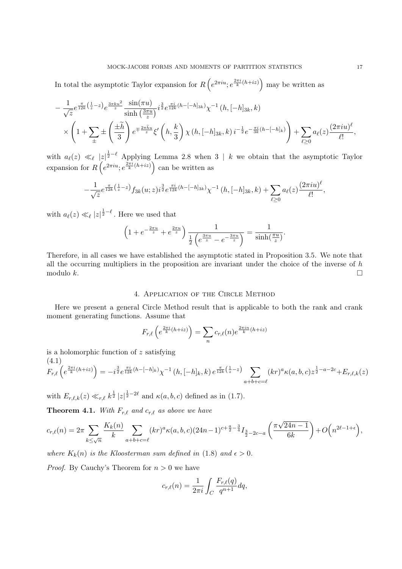In total the asymptotic Taylor expansion for  $R\left(e^{2\pi iu}; e^{\frac{2\pi i}{k}(h+iz)}\right)$  may be written as

$$
-\frac{1}{\sqrt{z}}e^{\frac{\pi}{12k}\left(\frac{1}{z}-z\right)}e^{\frac{3\pi k u^2}{z}}\frac{\sin(\pi u)}{\sinh\left(\frac{3\pi u}{z}\right)}i^{\frac{3}{2}}e^{\frac{\pi i}{12k}(h-[-h]_{3k})}\chi^{-1}\left(h,[-h]_{3k},k\right) \times\left(1+\sum_{\pm}\pm\left(\frac{\pm\widetilde{h}}{3}\right)e^{\mp\frac{2\pi \widetilde{h}u}{z}}\xi'\left(h,\frac{k}{3}\right)\chi\left(h,[-h]_{3k},k\right)i^{-\frac{1}{2}}e^{-\frac{\pi i}{3k}(h-[-h]_{k})}\right)+\sum_{\ell\geq 0}a_{\ell}(z)\frac{(2\pi i u)^{\ell}}{\ell!},
$$

with  $a_{\ell}(z) \ll_{\ell} |z|^{1-\ell}$  Applying Lemma 2.8 when 3 | k we obtain that the asymptotic Taylor expansion for  $R\left(e^{2\pi iu}; e^{\frac{2\pi i}{k}(h+iz)}\right)$  can be written as

$$
-\frac{1}{\sqrt{z}}e^{\frac{\pi}{12k}\left(\frac{1}{z}-z\right)}f_{3k}(u;z)i^{\frac{3}{2}}e^{\frac{\pi i}{12k}(h-[-h]_{3k})}\chi^{-1}\left(h,[-h]_{3k},k\right)+\sum_{\ell\geq 0}a_{\ell}(z)\frac{(2\pi i u)^{\ell}}{\ell!},
$$

with  $a_{\ell}(z) \ll_{\ell} |z|^{\frac{1}{2} - \ell}$ . Here we used that

$$
\left(1 + e^{-\frac{2\pi u}{z}} + e^{\frac{2\pi u}{z}}\right) \frac{1}{\frac{1}{2} \left(e^{\frac{3\pi u}{z}} - e^{-\frac{3\pi u}{z}}\right)} = \frac{1}{\sinh(\frac{\pi u}{z})}.
$$

Therefore, in all cases we have established the asymptotic stated in Proposition 3.5. We note that all the occurring multipliers in the proposition are invariant under the choice of the inverse of  $h$ modulo  $k$ .

### 4. Application of the Circle Method

Here we present a general Circle Method result that is applicable to both the rank and crank moment generating functions. Assume that

$$
F_{r,\ell}\left(e^{\frac{2\pi i}{k}(h+iz)}\right) = \sum_n c_{r,\ell}(n)e^{\frac{2\pi in}{k}(h+iz)}
$$

is a holomorphic function of z satisfying  $(4.1)$ 

$$
F_{r,\ell}\left(e^{\frac{2\pi i}{k}(h+iz)}\right) = -i^{\frac{3}{2}}e^{\frac{\pi i}{12k}(h-[-h]_k)}\chi^{-1}\left(h,[-h]_k,k\right)e^{\frac{\pi}{12k}\left(\frac{1}{z}-z\right)}\sum_{a+b+c=\ell}(kr)^a\kappa(a,b,c)z^{\frac{1}{2}-a-2c} + E_{r,\ell,k}(z)
$$

with  $E_{r,\ell,k}(z) \ll_{r,\ell} k^{\frac{1}{2}} |z|^{\frac{1}{2}-2\ell}$  and  $\kappa(a, b, c)$  defined as in (1.7).

**Theorem 4.1.** With  $F_{r,\ell}$  and  $c_{r,\ell}$  as above we have

$$
c_{r,\ell}(n) = 2\pi \sum_{k \le \sqrt{n}} \frac{K_k(n)}{k} \sum_{a+b+c=\ell} (kr)^a \kappa(a,b,c) (24n-1)^{c+\frac{a}{2}-\frac{3}{4}} I_{\frac{3}{2}-2c-a} \left( \frac{\pi \sqrt{24n-1}}{6k} \right) + O\left(n^{2\ell-1+\epsilon}\right),
$$

where  $K_k(n)$  is the Kloosterman sum defined in (1.8) and  $\epsilon > 0$ .

*Proof.* By Cauchy's Theorem for  $n > 0$  we have

$$
c_{r,\ell}(n) = \frac{1}{2\pi i} \int_C \frac{F_{r,\ell}(q)}{q^{n+1}} dq,
$$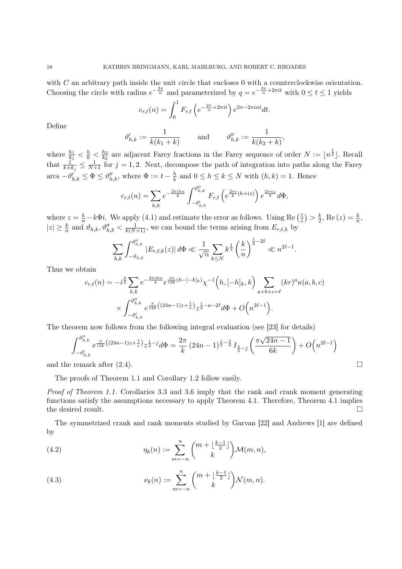with  $C$  an arbitrary path inside the unit circle that encloses  $0$  with a counterclockwise orientation. Choosing the circle with radius  $e^{-\frac{2\pi}{n}}$  and parameterized by  $q = e^{-\frac{2\pi}{n} + 2\pi i t}$  with  $0 \le t \le 1$  yields

$$
c_{r,\ell}(n) = \int_0^1 F_{r,\ell}\left(e^{-\frac{2\pi}{n} + 2\pi it}\right)e^{2\pi - 2\pi int}dt.
$$

Define

$$
\vartheta_{h,k}':=\frac{1}{k(k_1+k)}\qquad\text{and}\qquad\vartheta_{h,k}''':=\frac{1}{k(k_2+k)},
$$

where  $\frac{h_1}{k_1} < \frac{h}{k} < \frac{h_2}{k_2}$  $\frac{h_2}{k_2}$  are adjacent Farey fractions in the Farey sequence of order  $N := \lfloor n^{\frac{1}{2}} \rfloor$ . Recall that  $\frac{1}{k+k_j} \leq \frac{1}{N+1}$  for  $j = 1, 2$ . Next, decompose the path of integration into paths along the Farey arcs  $-\vartheta'_{h,k} \leq \Phi \leq \vartheta''_{h,k}$ , where  $\Phi := t - \frac{h}{k}$  $\frac{h}{k}$  and  $0 \leq h \leq k \leq N$  with  $(h, k) = 1$ . Hence

$$
c_{r,\ell}(n) = \sum_{h,k} e^{-\frac{2\pi i h n}{k}} \int_{-\vartheta'_{h,k}}^{\vartheta''_{h,k}} F_{r,\ell}\left(e^{\frac{2\pi i}{k}(h+iz)}\right) e^{\frac{2\pi n z}{k}} d\Phi,
$$

where  $z = \frac{k}{n} - k\Phi i$ . We apply (4.1) and estimate the error as follows. Using Re  $\left(\frac{1}{z}\right)$  $(\frac{1}{z}) > \frac{k}{2}$  $\frac{k}{2}$ , Re  $(z) = \frac{k}{n}$ ,  $|z| \geq \frac{k}{n}$  and  $\vartheta_{h,k}, \vartheta''_{h,k} < \frac{1}{k(N+1)}$ , we can bound the terms arising from  $E_{r,\ell,k}$  by

$$
\sum_{h,k} \int_{-\vartheta_{h,k}}^{\vartheta_{h,k}''} |E_{r,\ell,k}(z)| \, d\Phi \ll \frac{1}{\sqrt{n}} \sum_{k \le N} k^{\frac{1}{2}} \left(\frac{k}{n}\right)^{\frac{1}{2}-2\ell} \ll n^{2\ell-1}.
$$

Thus we obtain

$$
c_{r,\ell}(n) = -i^{\frac{3}{2}} \sum_{h,k} e^{-\frac{2\pi i h n}{k}} e^{\frac{\pi i}{12k}(h - [-h]_k)} \chi^{-1}\left(h, [-h]_k, k\right) \sum_{a+b+c=\ell} (kr)^a \kappa(a, b, c)
$$

$$
\times \int_{-\vartheta'_{h,k}}^{\vartheta''_{h,k}} e^{\frac{\pi}{12k}\left((24n-1)z + \frac{1}{z}\right)} z^{\frac{1}{2} - a - 2\ell} d\Phi + O\left(n^{2\ell - 1}\right).
$$

The theorem now follows from the following integral evaluation (see [23] for details)

$$
\int_{-\vartheta_{h,k}^{\prime}}^{\vartheta_{h,k}^{\prime\prime}} e^{\frac{\pi}{12k} \left( (24n-1)z + \frac{1}{z} \right) } z^{\frac{1}{2} - j} d\Phi = \frac{2\pi}{k} \left( 24n - 1 \right)^{\frac{j}{2} - \frac{3}{4}} I_{\frac{3}{2} - j} \left( \frac{\pi \sqrt{24n - 1}}{6k} \right) + O\left( n^{2\ell - 1} \right)
$$

and the remark after  $(2.4)$ .

The proofs of Theorem 1.1 and Corollary 1.2 follow easily.

Proof of Theorem 1.1. Corollaries 3.3 and 3.6 imply that the rank and crank moment generating functions satisfy the assumptions necessary to apply Theorem 4.1. Therefore, Theorem 4.1 implies the desired result.

The symmetrized crank and rank moments studied by Garvan [22] and Andrews [1] are defined by

(4.2) 
$$
\eta_k(n) := \sum_{m=-n}^n {m + \lfloor \frac{k-1}{2} \rfloor \choose k} \mathcal{M}(m,n),
$$

(4.3) 
$$
\nu_k(n) := \sum_{m=-n}^n {m + \lfloor \frac{k-1}{2} \rfloor \choose k} \mathcal{N}(m, n).
$$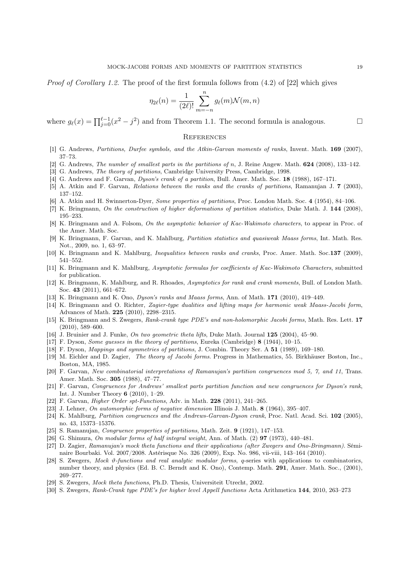*Proof of Corollary 1.2.* The proof of the first formula follows from  $(4.2)$  of  $[22]$  which gives

$$
\eta_{2\ell}(n) = \frac{1}{(2\ell)!} \sum_{m=-n}^{n} g_{\ell}(m) \mathcal{N}(m, n)
$$

where  $g_{\ell}(x) = \prod_{j=0}^{\ell-1} (x^2 - j^2)$  and from Theorem 1.1. The second formula is analogous. □

#### **REFERENCES**

- [1] G. Andrews, Partitions, Durfee symbols, and the Atkin-Garvan moments of ranks, Invent. Math. 169 (2007), 37–73.
- [2] G. Andrews, The number of smallest parts in the partitions of n, J. Reine Angew. Math. 624 (2008), 133–142.
- [3] G. Andrews, The theory of partitions, Cambridge University Press, Cambridge, 1998.
- [4] G. Andrews and F. Garvan, Dyson's crank of a partition, Bull. Amer. Math. Soc. 18 (1988), 167–171.
- [5] A. Atkin and F. Garvan, Relations between the ranks and the cranks of partitions, Ramanujan J. 7 (2003), 137–152.
- [6] A. Atkin and H. Swinnerton-Dyer, Some properties of partitions, Proc. London Math. Soc. 4 (1954), 84–106.
- [7] K. Bringmann, On the construction of higher deformations of partition statistics, Duke Math. J. 144 (2008), 195–233.
- [8] K. Bringmann and A. Folsom, On the asymptotic behavior of Kac-Wakimoto characters, to appear in Proc. of the Amer. Math. Soc.
- [9] K. Bringmann, F. Garvan, and K. Mahlburg, Partition statistics and quasiweak Maass forms, Int. Math. Res. Not., 2009, no. 1, 63–97.
- [10] K. Bringmann and K. Mahlburg, Inequalities between ranks and cranks, Proc. Amer. Math. Soc.137 (2009), 541–552.
- [11] K. Bringmann and K. Mahlburg, Asymptotic formulas for coefficients of Kac-Wakimoto Characters, submitted for publication.
- [12] K. Bringmann, K. Mahlburg, and R. Rhoades, Asymptotics for rank and crank moments, Bull. of London Math. Soc. 43 (2011), 661–672.
- [13] K. Bringmann and K. Ono, Dyson's ranks and Maass forms, Ann. of Math. 171 (2010), 419–449.
- [14] K. Bringmann and O. Richter, Zagier-type dualities and lifting maps for harmonic weak Maass-Jacobi form, Advances of Math. 225 (2010), 2298–2315.
- [15] K. Bringmann and S. Zwegers, Rank-crank type PDE's and non-holomorphic Jacobi forms, Math. Res. Lett. 17 (2010), 589–600.
- [16] J. Bruinier and J. Funke, On two geometric theta lifts, Duke Math. Journal 125 (2004), 45–90.
- [17] F. Dyson, Some guesses in the theory of partitions, Eureka (Cambridge) 8 (1944), 10–15.
- [18] F. Dyson, Mappings and symmetries of partitions, J. Combin. Theory Ser. A 51 (1989), 169–180.
- [19] M. Eichler and D. Zagier, The theory of Jacobi forms. Progress in Mathematics, 55. Birkhäuser Boston, Inc., Boston, MA, 1985.
- [20] F. Garvan, New combinatorial interpretations of Ramanujan's partition congruences mod 5, 7, and 11, Trans. Amer. Math. Soc. 305 (1988), 47–77.
- [21] F. Garvan, Congruences for Andrews' smallest parts partition function and new congruences for Dyson's rank, Int. J. Number Theory 6 (2010), 1–29.
- [22] F. Garvan, Higher Order spt-Functions, Adv. in Math. 228 (2011), 241–265.
- [23] J. Lehner, On automorphic forms of negative dimension Illinois J. Math. 8 (1964), 395–407.
- [24] K. Mahlburg, Partition congruences and the Andrews-Garvan-Dyson crank, Proc. Natl. Acad. Sci. 102 (2005), no. 43, 15373–15376.
- [25] S. Ramanujan, Congruence properties of partitions, Math. Zeit. 9 (1921), 147–153.
- [26] G. Shimura, On modular forms of half integral weight, Ann. of Math. (2) 97 (1973), 440–481.
- [27] D. Zagier, Ramanujan's mock theta functions and their applications (after Zwegers and Ono-Bringmann). Séminaire Bourbaki. Vol. 2007/2008. Astérisque No. 326 (2009), Exp. No. 986, vii-viii, 143–164 (2010).
- [28] S. Zwegers, Mock  $\vartheta$ -functions and real analytic modular forms, q-series with applications to combinatorics, number theory, and physics (Ed. B. C. Berndt and K. Ono), Contemp. Math. 291, Amer. Math. Soc., (2001), 269–277.
- [29] S. Zwegers, Mock theta functions, Ph.D. Thesis, Universiteit Utrecht, 2002.
- [30] S. Zwegers, Rank-Crank type PDE's for higher level Appell functions Acta Arithmetica 144, 2010, 263–273